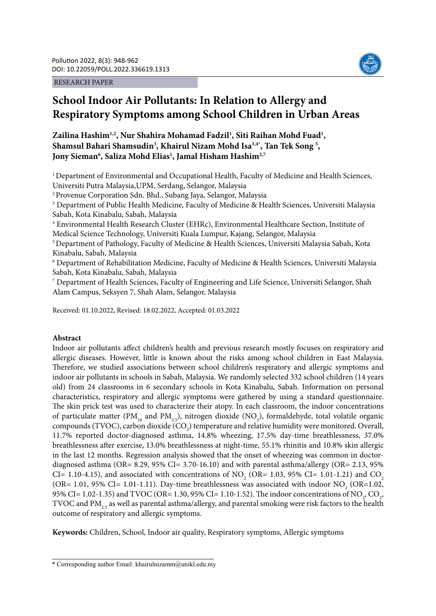RESEARCH PAPER



# **School Indoor Air Pollutants: In Relation to Allergy and Respiratory Symptoms among School Children in Urban Areas**

Zailina Hashim<sup>1,2</sup>, Nur Shahira Mohamad Fadzil<sup>1</sup>, Siti Raihan Mohd Fuad<sup>1</sup>, Shamsul Bahari Shamsudin<sup>3</sup>, Khairul Nizam Mohd Isa<sup>1,4\*</sup>, Tan Tek Song<sup>5</sup>, Jony Sieman<sup>6</sup>, Saliza Mohd Elias<sup>1</sup>, Jamal Hisham Hashim<sup>2,7</sup>

1 Department of Environmental and Occupational Health, Faculty of Medicine and Health Sciences, Universiti Putra Malaysia,UPM, Serdang, Selangor, Malaysia

2 Provenue Corporation Sdn. Bhd., Subang Jaya, Selangor, Malaysia

<sup>3</sup> Department of Public Health Medicine, Faculty of Medicine & Health Sciences, Universiti Malaysia Sabah, Kota Kinabalu, Sabah, Malaysia

4 Environmental Health Research Cluster (EHRc), Environmental Healthcare Section, Institute of Medical Science Technology, Universiti Kuala Lumpur, Kajang, Selangor, Malaysia

5 Department of Pathology, Faculty of Medicine & Health Sciences, Universiti Malaysia Sabah, Kota Kinabalu, Sabah, Malaysia

6 Department of Rehabilitation Medicine, Faculty of Medicine & Health Sciences, Universiti Malaysia Sabah, Kota Kinabalu, Sabah, Malaysia

7 Department of Health Sciences, Faculty of Engineering and Life Science, Universiti Selangor, Shah Alam Campus, Seksyen 7, Shah Alam, Selangor, Malaysia

Received: 01.10.2022, Revised: 18.02.2022, Accepted: 01.03.2022

# **Abstract**

Indoor air pollutants affect children's health and previous research mostly focuses on respiratory and allergic diseases. However, little is known about the risks among school children in East Malaysia. Therefore, we studied associations between school children's respiratory and allergic symptoms and indoor air pollutants in schools in Sabah, Malaysia. We randomly selected 332 school children (14 years old) from 24 classrooms in 6 secondary schools in Kota Kinabalu, Sabah. Information on personal characteristics, respiratory and allergic symptoms were gathered by using a standard questionnaire. The skin prick test was used to characterize their atopy. In each classroom, the indoor concentrations of particulate matter (PM<sub>10</sub> and PM<sub>2.5</sub>), nitrogen dioxide (NO<sub>2</sub>), formaldehyde, total volatile organic compounds (TVOC), carbon dioxide (CO<sub>2</sub>) temperature and relative humidity were monitored. Overall, 11.7% reported doctor-diagnosed asthma, 14.8% wheezing, 17.5% day-time breathlessness, 37.0% breathlessness after exercise, 13.0% breathlessness at night-time, 55.1% rhinitis and 10.8% skin allergic in the last 12 months. Regression analysis showed that the onset of wheezing was common in doctordiagnosed asthma (OR= 8.29, 95% CI= 3.70-16.10) and with parental asthma/allergy (OR= 2.13, 95% CI= 1.10-4.15), and associated with concentrations of NO<sub>2</sub> (OR= 1.03, 95% CI= 1.01-1.21) and CO<sub>2</sub> (OR= 1.01, 95% CI= 1.01-1.11). Day-time breathlessness was associated with indoor  $NO_2$  (OR=1.02, 95% CI= 1.02-1.35) and TVOC (OR= 1.30, 95% CI= 1.10-1.52). The indoor concentrations of NO<sub>2</sub>, CO<sub>2</sub>, TVOC and PM<sub>2.5</sub> as well as parental asthma/allergy, and parental smoking were risk factors to the health outcome of respiratory and allergic symptoms.

**Keywords:** Children, School, Indoor air quality, Respiratory symptoms, Allergic symptoms

<sup>\*</sup> Corresponding author Email: khairulnizamm@unikl.edu.my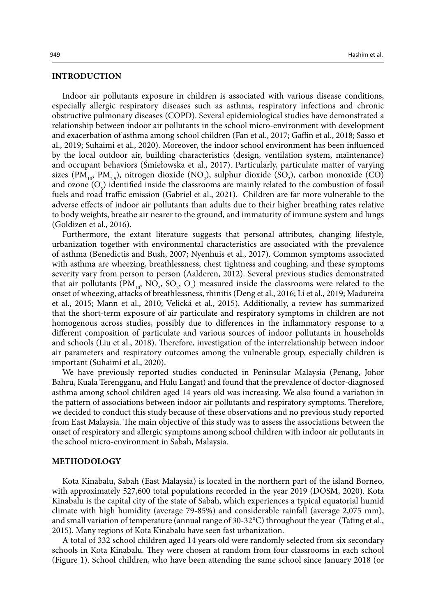#### **INTRODUCTION**

Indoor air pollutants exposure in children is associated with various disease conditions, especially allergic respiratory diseases such as asthma, respiratory infections and chronic obstructive pulmonary diseases (COPD). Several epidemiological studies have demonstrated a relationship between indoor air pollutants in the school micro-environment with development and exacerbation of asthma among school children (Fan et al., 2017; Gaffin et al., 2018; Sasso et al., 2019; Suhaimi et al., 2020). Moreover, the indoor school environment has been influenced by the local outdoor air, building characteristics (design, ventilation system, maintenance) and occupant behaviors (Śmiełowska et al., 2017). Particularly, particulate matter of varying sizes  $(PM_{10}, PM_{2.5})$ , nitrogen dioxide (NO<sub>2</sub>), sulphur dioxide (SO<sub>2</sub>), carbon monoxide (CO) and ozone  $(O_3)$  identified inside the classrooms are mainly related to the combustion of fossil fuels and road traffic emission (Gabriel et al., 2021). Children are far more vulnerable to the adverse effects of indoor air pollutants than adults due to their higher breathing rates relative to body weights, breathe air nearer to the ground, and immaturity of immune system and lungs (Goldizen et al., 2016).

Furthermore, the extant literature suggests that personal attributes, changing lifestyle, urbanization together with environmental characteristics are associated with the prevalence of asthma (Benedictis and Bush, 2007; Nyenhuis et al., 2017). Common symptoms associated with asthma are wheezing, breathlessness, chest tightness and coughing, and these symptoms severity vary from person to person (Aalderen, 2012). Several previous studies demonstrated that air pollutants  $(PM_{10}, NO_2, SO_2, O_3)$  measured inside the classrooms were related to the onset of wheezing, attacks of breathlessness, rhinitis (Deng et al., 2016; Li et al., 2019; Madureira et al., 2015; Mann et al., 2010; Velická et al., 2015). Additionally, a review has summarized that the short-term exposure of air particulate and respiratory symptoms in children are not homogenous across studies, possibly due to differences in the inflammatory response to a different composition of particulate and various sources of indoor pollutants in households and schools (Liu et al., 2018). Therefore, investigation of the interrelationship between indoor air parameters and respiratory outcomes among the vulnerable group, especially children is important (Suhaimi et al., 2020).

We have previously reported studies conducted in Peninsular Malaysia (Penang, Johor Bahru, Kuala Terengganu, and Hulu Langat) and found that the prevalence of doctor-diagnosed asthma among school children aged 14 years old was increasing. We also found a variation in the pattern of associations between indoor air pollutants and respiratory symptoms. Therefore, we decided to conduct this study because of these observations and no previous study reported from East Malaysia. The main objective of this study was to assess the associations between the onset of respiratory and allergic symptoms among school children with indoor air pollutants in the school micro-environment in Sabah, Malaysia.

#### **METHODOLOGY**

Kota Kinabalu, Sabah (East Malaysia) is located in the northern part of the island Borneo, with approximately 527,600 total populations recorded in the year 2019 (DOSM, 2020). Kota Kinabalu is the capital city of the state of Sabah, which experiences a typical equatorial humid climate with high humidity (average 79-85%) and considerable rainfall (average 2,075 mm), and small variation of temperature (annual range of 30-32°C) throughout the year (Tating et al., 2015). Many regions of Kota Kinabalu have seen fast urbanization.

A total of 332 school children aged 14 years old were randomly selected from six secondary schools in Kota Kinabalu. They were chosen at random from four classrooms in each school (Figure 1). School children, who have been attending the same school since January 2018 (or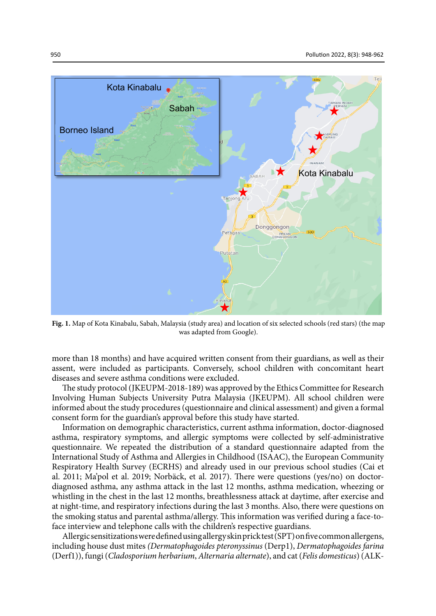

**Fig. 1.** Map of Kota Kinabalu, Sabah, Malaysia (study area) and location of six selected schools (red stars) (the map was adapted from Google).

more than 18 months) and have acquired written consent from their guardians, as well as their assent, were included as participants. Conversely, school children with concomitant heart diseases and severe asthma conditions were excluded.

The study protocol (JKEUPM-2018-189) was approved by the Ethics Committee for Research Involving Human Subjects University Putra Malaysia (JKEUPM). All school children were informed about the study procedures (questionnaire and clinical assessment) and given a formal consent form for the guardian's approval before this study have started.

Information on demographic characteristics, current asthma information, doctor-diagnosed asthma, respiratory symptoms, and allergic symptoms were collected by self-administrative questionnaire. We repeated the distribution of a standard questionnaire adapted from the International Study of Asthma and Allergies in Childhood (ISAAC), the European Community Respiratory Health Survey (ECRHS) and already used in our previous school studies (Cai et al. 2011; Ma'pol et al. 2019; Norbäck, et al. 2017). There were questions (yes/no) on doctordiagnosed asthma, any asthma attack in the last 12 months, asthma medication, wheezing or whistling in the chest in the last 12 months, breathlessness attack at daytime, after exercise and at night-time, and respiratory infections during the last 3 months. Also, there were questions on the smoking status and parental asthma/allergy. This information was verified during a face-toface interview and telephone calls with the children's respective guardians.

Allergic sensitizations were defined using allergy skin prick test (SPT) on five common allergens, including house dust mites *(Dermatophagoides pteronyssinus* (Derp1), *Dermatophagoides farina* (Derf1)), fungi (*Cladosporium herbarium*, *Alternaria alternate*), and cat (*Felis domesticus*) (ALK-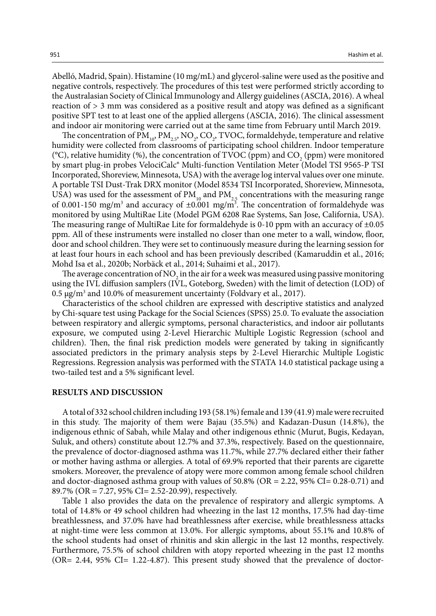Abelló, Madrid, Spain). Histamine (10 mg/mL) and glycerol-saline were used as the positive and negative controls, respectively. The procedures of this test were performed strictly according to the Australasian Society of Clinical Immunology and Allergy guidelines (ASCIA, 2016). A wheal reaction of > 3 mm was considered as a positive result and atopy was defined as a significant positive SPT test to at least one of the applied allergens (ASCIA, 2016). The clinical assessment and indoor air monitoring were carried out at the same time from February until March 2019.

The concentration of  $PM_{10}$ ,  $PM_{2.5}$ , NO<sub>2</sub>, CO<sub>2</sub>, TVOC, formaldehyde, temperature and relative humidity were collected from classrooms of participating school children. Indoor temperature (°C), relative humidity (%), the concentration of TVOC (ppm) and  $CO_2$  (ppm) were monitored by smart plug-in probes VelociCalc® Multi-function Ventilation Meter (Model TSI 9565-P TSI Incorporated, Shoreview, Minnesota, USA) with the average log interval values over one minute. A portable TSI Dust-Trak DRX monitor (Model 8534 TSI Incorporated, Shoreview, Minnesota, USA) was used for the assessment of  $PM_{10}$  and  $PM_{25}$  concentrations with the measuring range of 0.001-150 mg/m<sup>3</sup> and accuracy of  $\pm 0.001$  mg/m<sup>3</sup>. The concentration of formaldehyde was monitored by using MultiRae Lite (Model PGM 6208 Rae Systems, San Jose, California, USA). The measuring range of MultiRae Lite for formaldehyde is 0-10 ppm with an accuracy of  $\pm 0.05$ ppm. All of these instruments were installed no closer than one meter to a wall, window, floor, door and school children. They were set to continuously measure during the learning session for at least four hours in each school and has been previously described (Kamaruddin et al., 2016; Mohd Isa et al., 2020b; Norbäck et al., 2014; Suhaimi et al., 2017).

The average concentration of  $NO<sub>2</sub>$  in the air for a week was measured using passive monitoring using the IVL diffusion samplers (IVL, Goteborg, Sweden) with the limit of detection (LOD) of 0.5  $\mu$ g/m<sup>3</sup> and 10.0% of measurement uncertainty (Foldvary et al., 2017).

Characteristics of the school children are expressed with descriptive statistics and analyzed by Chi-square test using Package for the Social Sciences (SPSS) 25.0. To evaluate the association between respiratory and allergic symptoms, personal characteristics, and indoor air pollutants exposure, we computed using 2-Level Hierarchic Multiple Logistic Regression (school and children). Then, the final risk prediction models were generated by taking in significantly associated predictors in the primary analysis steps by 2-Level Hierarchic Multiple Logistic Regressions. Regression analysis was performed with the STATA 14.0 statistical package using a two-tailed test and a 5% significant level.

#### **RESULTS AND DISCUSSION**

A total of 332 school children including 193 (58.1%) female and 139 (41.9) male were recruited in this study. The majority of them were Bajau (35.5%) and Kadazan-Dusun (14.8%), the indigenous ethnic of Sabah, while Malay and other indigenous ethnic (Murut, Bugis, Kedayan, Suluk, and others) constitute about 12.7% and 37.3%, respectively. Based on the questionnaire, the prevalence of doctor-diagnosed asthma was 11.7%, while 27.7% declared either their father or mother having asthma or allergies. A total of 69.9% reported that their parents are cigarette smokers. Moreover, the prevalence of atopy were more common among female school children and doctor-diagnosed asthma group with values of  $50.8\%$  (OR = 2.22,  $95\%$  CI= 0.28-0.71) and 89.7% (OR = 7.27, 95% CI= 2.52-20.99), respectively.

Table 1 also provides the data on the prevalence of respiratory and allergic symptoms. A total of 14.8% or 49 school children had wheezing in the last 12 months, 17.5% had day-time breathlessness, and 37.0% have had breathlessness after exercise, while breathlessness attacks at night-time were less common at 13.0%. For allergic symptoms, about 55.1% and 10.8% of the school students had onset of rhinitis and skin allergic in the last 12 months, respectively. Furthermore, 75.5% of school children with atopy reported wheezing in the past 12 months  $(OR = 2.44, 95\% \text{ CI} = 1.22 - 4.87)$ . This present study showed that the prevalence of doctor-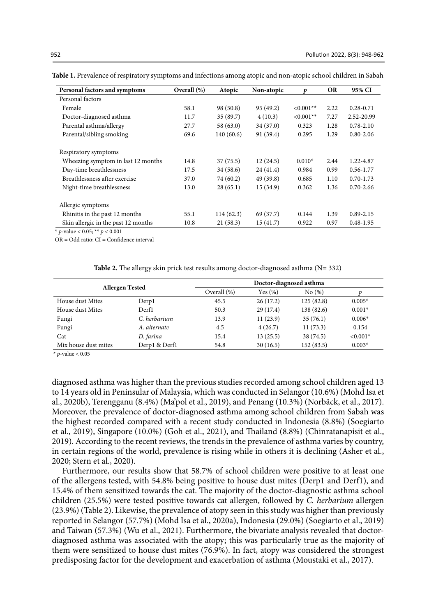| Personal factors and symptoms       | Overall (%) | Atopic    | Non-atopic | Þ           | <b>OR</b> | 95% CI        |
|-------------------------------------|-------------|-----------|------------|-------------|-----------|---------------|
| Personal factors                    |             |           |            |             |           |               |
| Female                              | 58.1        | 98 (50.8) | 95 (49.2)  | $< 0.001**$ | 2.22      | $0.28 - 0.71$ |
| Doctor-diagnosed asthma             | 11.7        | 35(89.7)  | 4(10.3)    | $< 0.001**$ | 7.27      | 2.52-20.99    |
| Parental asthma/allergy             | 27.7        | 58(63.0)  | 34(37.0)   | 0.323       | 1.28      | $0.78 - 2.10$ |
| Parental/sibling smoking            | 69.6        | 140(60.6) | 91 (39.4)  | 0.295       | 1.29      | $0.80 - 2.06$ |
| Respiratory symptoms                |             |           |            |             |           |               |
| Wheezing symptom in last 12 months  | 14.8        | 37(75.5)  | 12(24.5)   | $0.010*$    | 2.44      | 1.22-4.87     |
| Day-time breathlessness             | 17.5        | 34(58.6)  | 24(41.4)   | 0.984       | 0.99      | $0.56 - 1.77$ |
| Breathlessness after exercise       | 37.0        | 74 (60.2) | 49 (39.8)  | 0.685       | 1.10      | $0.70 - 1.73$ |
| Night-time breathlessness           | 13.0        | 28(65.1)  | 15(34.9)   | 0.362       | 1.36      | $0.70 - 2.66$ |
| Allergic symptoms                   |             |           |            |             |           |               |
| Rhinitis in the past 12 months      | 55.1        | 114(62.3) | 69 (37.7)  | 0.144       | 1.39      | $0.89 - 2.15$ |
| Skin allergic in the past 12 months | 10.8        | 21(58.3)  | 15(41.7)   | 0.922       | 0.97      | $0.48 - 1.95$ |

Table 1. Prevalence of respiratory symptoms and infections among atopic and non-atopic school children in Sabah

\* *p*-value < 0.05; \*\* *p* < 0.001

 $OR = Odd$  ratio;  $CI = Confidence$  interval

Table 2. The allergy skin prick test results among doctor-diagnosed asthma (N= 332) **Table 2.** The allergy skin prick test results among doctor-diagnosed asthma (N= 332)

| <b>Allergen Tested</b> |               | Doctor-diagnosed asthma |             |            |            |
|------------------------|---------------|-------------------------|-------------|------------|------------|
|                        |               | Overall (%)             | Yes $(\% )$ | No(%)      |            |
| House dust Mites       | Derp1         | 45.5                    | 26(17.2)    | 125(82.8)  | $0.005*$   |
| House dust Mites       | Derf1         | 50.3                    | 29(17.4)    | 138 (82.6) | $0.001*$   |
| Fungi                  | C. herbarium  | 13.9                    | 11(23.9)    | 35(76.1)   | $0.006*$   |
| Fungi                  | A. alternate  | 4.5                     | 4(26.7)     | 11(73.3)   | 0.154      |
| Cat                    | D. farina     | 15.4                    | 13(25.5)    | 38 (74.5)  | $< 0.001*$ |
| Mix house dust mites   | Derp1 & Derf1 | 54.8                    | 30(16.5)    | 152(83.5)  | $0.003*$   |

\* *p*-value < 0.05

diagnosed asthma was higher than the previous studies recorded among school children aged 13 to 14 years old in Peninsular of Malaysia, which was conducted in Selangor (10.6%) (Mohd Isa et al., 2020b), Terengganu (8.4%) (Ma'pol et al., 2019), and Penang (10.3%) (Norbäck, et al., 2017). Moreover, the prevalence of doctor-diagnosed asthma among school children from Sabah was the highest recorded compared with a recent study conducted in Indonesia (8.8%) (Soegiarto et al., 2019), Singapore (10.0%) (Goh et al., 2021), and Thailand (8.8%) (Chinratanapisit et al., 2019). According to the recent reviews, the trends in the prevalence of asthma varies by country, in certain regions of the world, prevalence is rising while in others it is declining (Asher et al., 2020; Stern et al., 2020).

Furthermore, our results show that 58.7% of school children were positive to at least one of the allergens tested, with 54.8% being positive to house dust mites (Derp1 and Derf1), and 15.4% of them sensitized towards the cat. The majority of the doctor-diagnostic asthma school children (25.5%) were tested positive towards cat allergen, followed by *C. herbarium* allergen (23.9%) (Table 2). Likewise, the prevalence of atopy seen in this study was higher than previously reported in Selangor (57.7%) (Mohd Isa et al., 2020a), Indonesia (29.0%) (Soegiarto et al., 2019) and Taiwan (57.3%) (Wu et al., 2021). Furthermore, the bivariate analysis revealed that doctordiagnosed asthma was associated with the atopy; this was particularly true as the majority of them were sensitized to house dust mites (76.9%). In fact, atopy was considered the strongest predisposing factor for the development and exacerbation of asthma (Moustaki et al., 2017).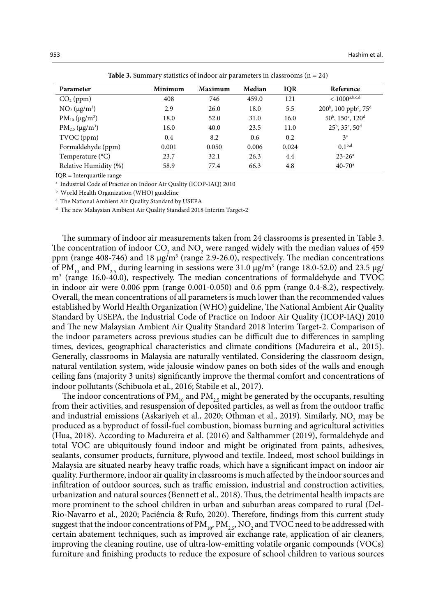| Parameter              | Minimum | <b>Maximum</b> | Median | <b>IQR</b> | Reference                                              |
|------------------------|---------|----------------|--------|------------|--------------------------------------------------------|
| $CO2$ (ppm)            | 408     | 746            | 459.0  | 121        | $< 1000^{\text{a},\text{b},\text{c},\text{d}}$         |
| $NO2 (\mu g/m3)$       | 2.9     | 26.0           | 18.0   | 5.5        | $200^{\circ}$ , 100 ppb <sup>c</sup> , 75 <sup>d</sup> |
| $PM_{10} (\mu g/m^3)$  | 18.0    | 52.0           | 31.0   | 16.0       | $50^{\rm b}$ , $150^{\rm c}$ , $120^{\rm d}$           |
| $PM_{2.5} (\mu g/m^3)$ | 16.0    | 40.0           | 23.5   | 11.0       | $25^{\rm b}$ , $35^{\rm c}$ , $50^{\rm d}$             |
| TVOC (ppm)             | 0.4     | 8.2            | 0.6    | 0.2        | 3 <sup>a</sup>                                         |
| Formaldehyde (ppm)     | 0.001   | 0.050          | 0.006  | 0.024      | 0.1 <sup>b,d</sup>                                     |
| Temperature (°C)       | 23.7    | 32.1           | 26.3   | 4.4        | $23 - 26^a$                                            |
| Relative Humidity (%)  | 58.9    | 77.4           | 66.3   | 4.8        | $40 - 70$ <sup>a</sup>                                 |

Table 3. Summary statistics of indoor air parameters in classrooms (n = 24) **Table 3.** Summary statistics of indoor air parameters in classrooms (n = 24)

IQR = Interquartile range

a Industrial Code of Practice on Indoor Air Quality (ICOP-IAQ) 2010

b World Health Organization (WHO) guideline

c The National Ambient Air Quality Standard by USEPA

d The new Malaysian Ambient Air Quality Standard 2018 Interim Target-2

The summary of indoor air measurements taken from 24 classrooms is presented in Table 3. The concentration of indoor  $CO_2$  and  $NO_2$  were ranged widely with the median values of 459 ppm (range  $408-746$ ) and  $18 \mu g/m^3$  (range 2.9-26.0), respectively. The median concentrations of PM<sub>10</sub> and PM<sub>2.5</sub> during learning in sessions were 31.0  $\mu$ g/m<sup>3</sup> (range 18.0-52.0) and 23.5  $\mu$ g/ m<sup>3</sup> (range 16.0-40.0), respectively. The median concentrations of formaldehyde and TVOC in indoor air were 0.006 ppm (range 0.001-0.050) and 0.6 ppm (range 0.4-8.2), respectively. Overall, the mean concentrations of all parameters is much lower than the recommended values established by World Health Organization (WHO) guideline, The National Ambient Air Quality Standard by USEPA, the Industrial Code of Practice on Indoor Air Quality (ICOP-IAQ) 2010 and The new Malaysian Ambient Air Quality Standard 2018 Interim Target-2. Comparison of the indoor parameters across previous studies can be difficult due to differences in sampling times, devices, geographical characteristics and climate conditions (Madureira et al., 2015). Generally, classrooms in Malaysia are naturally ventilated. Considering the classroom design, natural ventilation system, wide jalousie window panes on both sides of the walls and enough ceiling fans (majority 3 units) significantly improve the thermal comfort and concentrations of indoor pollutants (Schibuola et al., 2016; Stabile et al., 2017).

The indoor concentrations of  $PM_{10}$  and  $PM_{25}$  might be generated by the occupants, resulting from their activities, and resuspension of deposited particles, as well as from the outdoor traffic and industrial emissions (Askariyeh et al., 2020; Othman et al., 2019). Similarly,  $NO_2$  may be produced as a byproduct of fossil-fuel combustion, biomass burning and agricultural activities (Hua, 2018). According to Madureira et al. (2016) and Salthammer (2019), formaldehyde and total VOC are ubiquitously found indoor and might be originated from paints, adhesives, sealants, consumer products, furniture, plywood and textile. Indeed, most school buildings in Malaysia are situated nearby heavy traffic roads, which have a significant impact on indoor air quality. Furthermore, indoor air quality in classrooms is much affected by the indoor sources and infiltration of outdoor sources, such as traffic emission, industrial and construction activities, urbanization and natural sources (Bennett et al., 2018). Thus, the detrimental health impacts are more prominent to the school children in urban and suburban areas compared to rural (Del-Rio-Navarro et al., 2020; Paciência & Rufo, 2020). Therefore, findings from this current study 3 suggest that the indoor concentrations of  $\rm PM_{10}$ ,  $\rm PM_{2.5}$ , NO<sub>2</sub> and TVOC need to be addressed with certain abatement techniques, such as improved air exchange rate, application of air cleaners, improving the cleaning routine, use of ultra-low-emitting volatile organic compounds (VOCs) furniture and finishing products to reduce the exposure of school children to various sources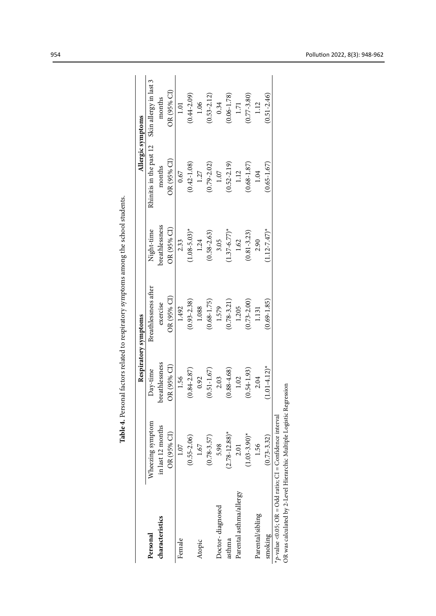|                                                                      |                    |                   | Respiratory symptoms |                            | Allergic symptoms       |                        |
|----------------------------------------------------------------------|--------------------|-------------------|----------------------|----------------------------|-------------------------|------------------------|
| Personal                                                             | Wheezing symptom   | Day-time          | Breathlessness after | Night-time                 | Rhinitis in the past 12 | Skin allergy in last 3 |
| characteristics                                                      | in last 12 months  | oreathlessness    | exercise             | breathlessness             | months                  | months                 |
|                                                                      | OR (95% CI)        | OR (95% CI)       | OR (95% CI)          | OR (95% CI)                | OR (95% CI)             | OR (95% CI)            |
| Female                                                               | 1.07               | 1.56              | 1.492                | 2.33                       | 0.67                    | $1.01$                 |
|                                                                      | $(0.55 - 2.06)$    | $(0.84 - 2.87)$   | $(0.93 - 2.38)$      | $1.08 - 5.03$ <sup>*</sup> | $(0.42 - 1.08)$         | $(0.44 - 2.09)$        |
| Atopic                                                               | 1.67               | 0.92              | 1.088                | 1.24                       | 1.27                    | 1.06                   |
|                                                                      | $(0.78 - 3.57)$    | $(0.51 - 1.67)$   | $(0.68 - 1.75)$      | $(0.58 - 2.63)$            | $(0.79 - 2.02)$         | $(0.53 - 2.12)$        |
| Doctor-diagnosed                                                     | 5.98               | 2.03              | 1.579                | 3.05                       | $1.07$                  | 0.34                   |
| asthma                                                               | $(2.78 - 12.88)^*$ | $(0.88 - 4.68)$   | $(0.78 - 3.21)$      | $1.37 - 6.77$ <sup>*</sup> | $(0.52 - 2.19)$         | $(0.06 - 1.78)$        |
| Parental asthma/allergy                                              | 2.01               | 1.02              | 1.205                | 1.62                       | $1.12$                  | 1.71                   |
|                                                                      | $(1.03 - 3.90)^*$  | $(0.54 - 1.93)$   | $0.73 - 2.00$        | $(0.81 - 3.23)$            | $(0.68 - 1.87)$         | $(0.77 - 3.80)$        |
| Parental/sibling                                                     | 1.56               | 2.04              | 1.131                | 2.90                       | 1.04                    | 1.12                   |
| smoking                                                              | $(0.73 - 3.32)$    | $(1.01 - 4.12)^*$ | $0.69 - 1.85$        | $1.12 - 7.47$ <sup>*</sup> | $0.65 - 1.67$           | $0.51 - 2.46$          |
| *p-value <0.05; $OR = Odd$ ratio; $CI = Confidence$ interval         |                    |                   |                      |                            |                         |                        |
| OR was calculated by 2-Level Hierarchic Multiple Logistic Regression |                    |                   |                      |                            |                         |                        |

Table 4. Personal factors related to respiratory symptoms among the school students. **Table 4.** Personal factors related to respiratory symptoms among the school students.Table 4. Personal factors related to respirate

954 Pollution 2022, 8(3): 948-962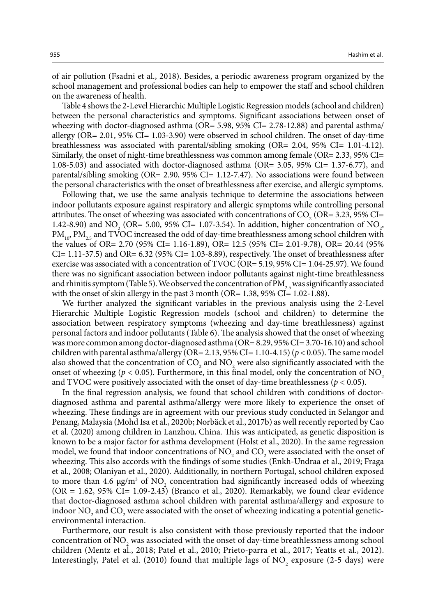of air pollution (Fsadni et al., 2018). Besides, a periodic awareness program organized by the school management and professional bodies can help to empower the staff and school children on the awareness of health.

Table 4 shows the 2-Level Hierarchic Multiple Logistic Regression models (school and children) between the personal characteristics and symptoms. Significant associations between onset of wheezing with doctor-diagnosed asthma (OR= 5.98, 95% CI= 2.78-12.88) and parental asthma/ allergy (OR= 2.01, 95% CI= 1.03-3.90) were observed in school children. The onset of day-time breathlessness was associated with parental/sibling smoking (OR= 2.04, 95% CI= 1.01-4.12). Similarly, the onset of night-time breathlessness was common among female (OR= 2.33, 95% CI= 1.08-5.03) and associated with doctor-diagnosed asthma (OR= 3.05, 95% CI= 1.37-6.77), and parental/sibling smoking (OR=  $2.90$ ,  $95\%$  CI=  $1.12$ -7.47). No associations were found between the personal characteristics with the onset of breathlessness after exercise, and allergic symptoms.

Following that, we use the same analysis technique to determine the associations between indoor pollutants exposure against respiratory and allergic symptoms while controlling personal attributes. The onset of wheezing was associated with concentrations of  $CO<sub>2</sub>$  (OR= 3.23, 95% CI= 1.42-8.90) and  $NO<sub>2</sub>$  (OR= 5.00, 95% CI= 1.07-3.54). In addition, higher concentration of  $NO<sub>2</sub>$ ,  $PM_{10}$ ,  $PM_{25}$  and TVOC increased the odd of day-time breathlessness among school children with the values of OR= 2.70 (95% CI= 1.16-1.89), OR= 12.5 (95% CI= 2.01-9.78), OR= 20.44 (95% CI= 1.11-37.5) and OR= 6.32 (95% CI= 1.03-8.89), respectively. The onset of breathlessness after exercise was associated with a concentration of TVOC (OR= 5.19, 95% CI= 1.04-25.97). We found there was no significant association between indoor pollutants against night-time breathlessness and rhinitis symptom (Table 5). We observed the concentration of  $PM_{25}$  was significantly associated with the onset of skin allergy in the past 3 month (OR=  $1.38$ ,  $95\%$  CI=  $1.02-1.88$ ).

We further analyzed the significant variables in the previous analysis using the 2-Level Hierarchic Multiple Logistic Regression models (school and children) to determine the association between respiratory symptoms (wheezing and day-time breathlessness) against personal factors and indoor pollutants (Table 6). The analysis showed that the onset of wheezing was more common among doctor-diagnosed asthma (OR= 8.29, 95% CI= 3.70-16.10) and school children with parental asthma/allergy (OR= 2.13, 95% CI= 1.10-4.15) ( $p < 0.05$ ). The same model also showed that the concentration of  $CO_2$  and  $NO_2$  were also significantly associated with the onset of wheezing ( $p < 0.05$ ). Furthermore, in this final model, only the concentration of NO<sub>2</sub> and TVOC were positively associated with the onset of day-time breathlessness ( $p < 0.05$ ).

In the final regression analysis, we found that school children with conditions of doctordiagnosed asthma and parental asthma/allergy were more likely to experience the onset of wheezing. These findings are in agreement with our previous study conducted in Selangor and Penang, Malaysia (Mohd Isa et al., 2020b; Norbäck et al., 2017b) as well recently reported by Cao et al. (2020) among children in Lanzhou, China. This was anticipated, as genetic disposition is known to be a major factor for asthma development (Holst et al., 2020). In the same regression model, we found that indoor concentrations of  $NO_2$  and  $CO_2$  were associated with the onset of wheezing. This also accords with the findings of some studies (Enkh-Undraa et al., 2019; Fraga et al., 2008; Olaniyan et al., 2020). Additionally, in northern Portugal, school children exposed to more than 4.6  $\mu$ g/m<sup>3</sup> of NO<sub>2</sub> concentration had significantly increased odds of wheezing  $(OR = 1.62, 95\% CI = 1.09 - 2.43)$  (Branco et al., 2020). Remarkably, we found clear evidence that doctor-diagnosed asthma school children with parental asthma/allergy and exposure to indoor  $\rm NO_2$  and  $\rm CO_2$  were associated with the onset of wheezing indicating a potential geneticenvironmental interaction.

Furthermore, our result is also consistent with those previously reported that the indoor concentration of  $NO_2$  was associated with the onset of day-time breathlessness among school children (Mentz et al., 2018; Patel et al., 2010; Prieto-parra et al., 2017; Yeatts et al., 2012). Interestingly, Patel et al. (2010) found that multiple lags of  $\mathrm{NO}_2$  exposure (2-5 days) were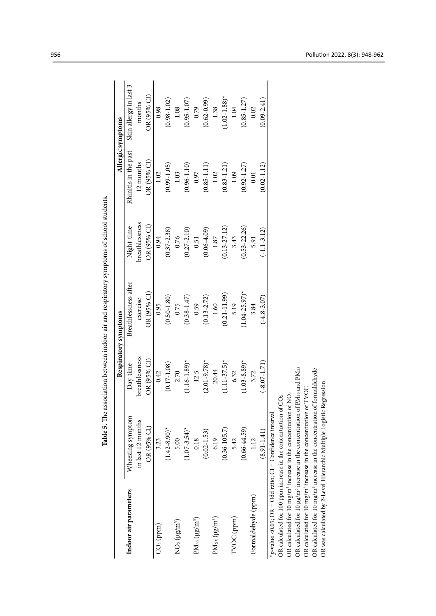| Wheezing symptom<br>in last 12 months<br>OR (95% CI)<br>$(1.42 - 8.90)^*$<br>$(1.07 - 3.54)^*$<br>$(0.02 - 1.53)$<br>5.00<br>0.18<br>3.23<br>Indoor air parameters<br>$PM_{10}$ $(\mu g/m^3)$<br>$NO2 (\mu g/m3)$<br>$CO2$ (ppm) |                   |                      |                  |                      | Allergic symptoms          |
|----------------------------------------------------------------------------------------------------------------------------------------------------------------------------------------------------------------------------------|-------------------|----------------------|------------------|----------------------|----------------------------|
|                                                                                                                                                                                                                                  | Day-time          | Breathlessness after | Night-time       | Rhinitis in the past | Skin allergy in last 3     |
|                                                                                                                                                                                                                                  | breathlessness    | exercise             | breathlessness   | 12 months            | months                     |
|                                                                                                                                                                                                                                  | OR (95% CI)       | OR (95% CI)          | OR (95% CI)      | OR (95% CI)          | OR (95% CI                 |
|                                                                                                                                                                                                                                  | 0.42              | 0.95                 | 0.94             | 1.02                 | 0.98                       |
|                                                                                                                                                                                                                                  | $(0.17 - 1.08)$   | $(0.50 - 1.80)$      | $(0.37 - 2.38)$  | $(0.99 - 1.05)$      | $(0.98 - 1.02)$            |
|                                                                                                                                                                                                                                  | 2.70              | 0.75                 | 0.76             | 1.03                 | 1.08                       |
|                                                                                                                                                                                                                                  | $(1.16 - 1.89)^*$ | $(0.38 - 1.47)$      | $(0.27 - 2.10)$  | $(0.96 - 1.10)$      | $(0.95 - 1.07)$            |
|                                                                                                                                                                                                                                  | 12.5              | 0.59                 | 0.51             | 0.97                 | 0.79                       |
|                                                                                                                                                                                                                                  | $(2.01 - 9.78)^*$ | $(0.13 - 2.72)$      | $(0.06 - 4.09)$  | $(0.85 - 1.11)$      | $(0.62 - 0.99)$            |
| 6.19<br>$PM_{2.5}$ $(\mu\text{g/m}^3)$                                                                                                                                                                                           | 20.44             | 1.60                 | $1.87$           | 1.02                 | 1.38                       |
| $(0.36 - 105.7)$                                                                                                                                                                                                                 | $(1.11 - 37.5)^*$ | $(0.21 - 11.99)$     | $(0.13 - 27.12)$ | $(0.83 - 1.21)$      | $1.02 - 1.88$ <sup>*</sup> |
| 5.42<br>TVOC (ppm)                                                                                                                                                                                                               | 6.32              | 5.19                 | 3.43             | 1.09                 | 1.04                       |
| $(0.66 - 44.59)$                                                                                                                                                                                                                 | $(1.03 - 8.89)^*$ | $(1.04 - 25.97)^*$   | $(0.53 - 22.26)$ | $(0.92 - 1.27)$      | $(0.85 - 1.27)$            |
| 1.12<br>Formaldehyde (ppm)                                                                                                                                                                                                       | 3.72              | 3.84                 | 5.91             | 0.01                 | 0.02                       |
| $(8.91 - 1.41)$                                                                                                                                                                                                                  | $(-8.07 - 1.71)$  | $(-4.8 - 3.07)$      | $(-1.1 - 3.12)$  | $0.02 - 1.12$        | $0.09 - 2.41$              |
| *p-value <0.05; OR = Odd ratio; CI = Confidence interval                                                                                                                                                                         |                   |                      |                  |                      |                            |
| OR calculated for 100 ppm increase in the concentration of                                                                                                                                                                       | $\widetilde{O}$   |                      |                  |                      |                            |
| OR calculated for 10 mg/m <sup>3</sup> increase in the concentration of $NO2$                                                                                                                                                    |                   |                      |                  |                      |                            |
| OR calculated for 10 µg/m <sup>3</sup> increase in the concentration of PM10 and PM2.5                                                                                                                                           |                   |                      |                  |                      |                            |
| OR calculated for 10 mg/m <sup>3</sup> increase in the concentration of TVOC                                                                                                                                                     |                   |                      |                  |                      |                            |
| OR calculated for 10 mg/m <sup>3</sup> increase in the concentration of formaldehyde<br>OR was calculated by 2-Level Hierarchic Multiple Logistic Regression                                                                     |                   |                      |                  |                      |                            |

Table 5. The association between indoor air and respiratory symptoms of school students. **Table 5.** The association between indoor air and respiratory symptoms of school students.Table 5. The association between indoor air and respiratory symptoms of school students.

956 Pollution 2022, 8(3): 948-962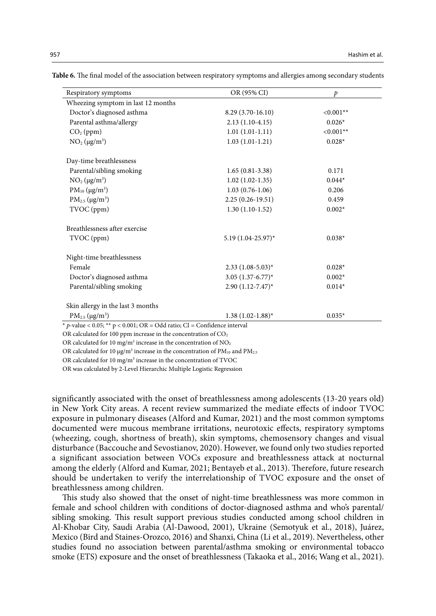| Respiratory symptoms                                                     | OR (95% CI)             | p           |
|--------------------------------------------------------------------------|-------------------------|-------------|
| Wheezing symptom in last 12 months                                       |                         |             |
| Doctor's diagnosed asthma                                                | 8.29 (3.70-16.10)       | $< 0.001**$ |
| Parental asthma/allergy                                                  | $2.13(1.10-4.15)$       | $0.026*$    |
| $CO2$ (ppm)                                                              | $1.01(1.01-1.11)$       | $< 0.001**$ |
| $NO2 (\mu g/m3)$                                                         | $1.03(1.01-1.21)$       | $0.028*$    |
| Day-time breathlessness                                                  |                         |             |
| Parental/sibling smoking                                                 | $1.65(0.81-3.38)$       | 0.171       |
| $NO2 (\mu g/m3)$                                                         | $1.02(1.02-1.35)$       | $0.044*$    |
| $PM_{10} (\mu g/m^3)$                                                    | $1.03(0.76-1.06)$       | 0.206       |
| $PM_{2.5} (\mu g/m^3)$                                                   | $2.25(0.26-19.51)$      | 0.459       |
| TVOC (ppm)                                                               | $1.30(1.10-1.52)$       | $0.002*$    |
| Breathlessness after exercise                                            |                         |             |
| TVOC (ppm)                                                               | 5.19 (1.04-25.97)*      | $0.038*$    |
| Night-time breathlessness                                                |                         |             |
| Female                                                                   | $2.33(1.08-5.03)^{*}$   | $0.028*$    |
| Doctor's diagnosed asthma                                                | 3.05 $(1.37 - 6.77)^*$  | $0.002*$    |
| Parental/sibling smoking                                                 | $2.90(1.12 - 7.47)^{*}$ | $0.014*$    |
| Skin allergy in the last 3 months                                        |                         |             |
| $PM_{2.5} (\mu g/m^3)$                                                   | $1.38(1.02 - 1.88)^*$   | $0.035*$    |
| * p-value < 0.05; ** p < 0.001; OR = Odd ratio; CI = Confidence interval |                         |             |

Table 6. The final model of the association between respiratory symptoms and allergies among secondary students

OR calculated for 100 ppm increase in the concentration of  $CO<sub>2</sub>$ 

OR calculated for 10 mg/m<sup>3</sup> increase in the concentration of  $NO<sub>2</sub>$ 

OR calculated for 10  $\mu$ g/m<sup>3</sup> increase in the concentration of PM<sub>10</sub> and PM<sub>2.5</sub>

OR calculated for  $10 \text{ mg/m}^3$  increase in the concentration of TVOC

OR was calculated by 2-Level Hierarchic Multiple Logistic Regression

significantly associated with the onset of breathlessness among adolescents (13-20 years old) in New York City areas. A recent review summarized the mediate effects of indoor TVOC exposure in pulmonary diseases (Alford and Kumar, 2021) and the most common symptoms documented were mucous membrane irritations, neurotoxic effects, respiratory symptoms (wheezing, cough, shortness of breath), skin symptoms, chemosensory changes and visual disturbance (Baccouche and Sevostianov, 2020). However, we found only two studies reported a significant association between VOCs exposure and breathlessness attack at nocturnal among the elderly (Alford and Kumar, 2021; Bentayeb et al., 2013). Therefore, future research should be undertaken to verify the interrelationship of TVOC exposure and the onset of breathlessness among children.

This study also showed that the onset of night-time breathlessness was more common in female and school children with conditions of doctor-diagnosed asthma and who's parental/ sibling smoking. This result support previous studies conducted among school children in Al-Khobar City, Saudi Arabia (Al-Dawood, 2001), Ukraine (Semotyuk et al., 2018), Juárez, Mexico (Bird and Staines-Orozco, 2016) and Shanxi, China (Li et al., 2019). Nevertheless, other studies found no association between parental/asthma smoking or environmental tobacco smoke (ETS) exposure and the onset of breathlessness (Takaoka et al., 2016; Wang et al., 2021).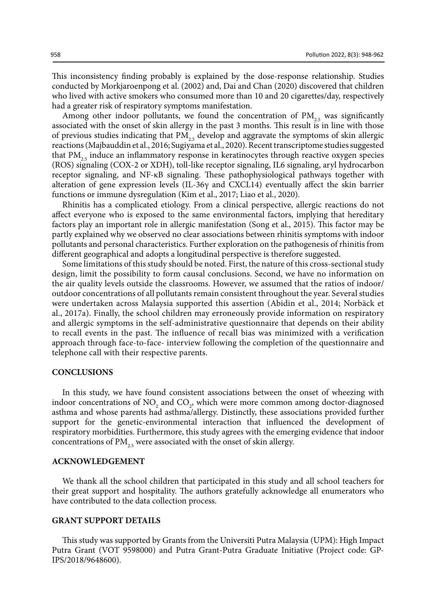This inconsistency finding probably is explained by the dose-response relationship. Studies conducted by Morkjaroenpong et al. (2002) and, Dai and Chan (2020) discovered that children who lived with active smokers who consumed more than 10 and 20 cigarettes/day, respectively had a greater risk of respiratory symptoms manifestation.

Among other indoor pollutants, we found the concentration of  $PM_{25}$  was significantly associated with the onset of skin allergy in the past 3 months. This result is in line with those of previous studies indicating that  $PM_{25}$  develop and aggravate the symptoms of skin allergic reactions (Majbauddin et al., 2016; Sugiyama et al., 2020). Recent transcriptome studies suggested that  $PM_{25}$  induce an inflammatory response in keratinocytes through reactive oxygen species (ROS) signaling (COX-2 or XDH), toll-like receptor signaling, IL6 signaling, aryl hydrocarbon receptor signaling, and NF-κB signaling. These pathophysiological pathways together with alteration of gene expression levels (IL-36γ and CXCL14) eventually affect the skin barrier functions or immune dysregulation (Kim et al., 2017; Liao et al., 2020).

Rhinitis has a complicated etiology. From a clinical perspective, allergic reactions do not affect everyone who is exposed to the same environmental factors, implying that hereditary factors play an important role in allergic manifestation (Song et al., 2015). This factor may be partly explained why we observed no clear associations between rhinitis symptoms with indoor pollutants and personal characteristics. Further exploration on the pathogenesis of rhinitis from different geographical and adopts a longitudinal perspective is therefore suggested.

Some limitations of this study should be noted. First, the nature of this cross-sectional study design, limit the possibility to form causal conclusions. Second, we have no information on the air quality levels outside the classrooms. However, we assumed that the ratios of indoor/ outdoor concentrations of all pollutants remain consistent throughout the year. Several studies were undertaken across Malaysia supported this assertion (Abidin et al., 2014; Norbäck et al., 2017a). Finally, the school children may erroneously provide information on respiratory and allergic symptoms in the self-administrative questionnaire that depends on their ability to recall events in the past. The influence of recall bias was minimized with a verification approach through face-to-face- interview following the completion of the questionnaire and telephone call with their respective parents.

#### **CONCLUSIONS**

In this study, we have found consistent associations between the onset of wheezing with indoor concentrations of  $NO_2$  and  $CO_2$ , which were more common among doctor-diagnosed asthma and whose parents had asthma/allergy. Distinctly, these associations provided further support for the genetic-environmental interaction that influenced the development of respiratory morbidities. Furthermore, this study agrees with the emerging evidence that indoor concentrations of  $PM_{25}$  were associated with the onset of skin allergy.

# **ACKNOWLEDGEMENT**

We thank all the school children that participated in this study and all school teachers for their great support and hospitality. The authors gratefully acknowledge all enumerators who have contributed to the data collection process.

#### **GRANT SUPPORT DETAILS**

This study was supported by Grants from the Universiti Putra Malaysia (UPM): High Impact Putra Grant (VOT 9598000) and Putra Grant-Putra Graduate Initiative (Project code: GP-IPS/2018/9648600).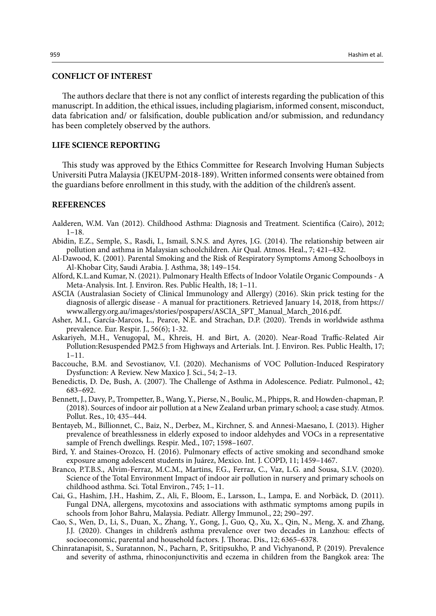# **CONFLICT OF INTEREST**

The authors declare that there is not any conflict of interests regarding the publication of this manuscript. In addition, the ethical issues, including plagiarism, informed consent, misconduct, data fabrication and/ or falsification, double publication and/or submission, and redundancy has been completely observed by the authors.

# **LIFE SCIENCE REPORTING**

This study was approved by the Ethics Committee for Research Involving Human Subjects Universiti Putra Malaysia (JKEUPM-2018-189). Written informed consents were obtained from the guardians before enrollment in this study, with the addition of the children's assent.

# **REFERENCES**

- Aalderen, W.M. Van (2012). Childhood Asthma: Diagnosis and Treatment. Scientifica (Cairo), 2012; 1–18.
- Abidin, E.Z., Semple, S., Rasdi, I., Ismail, S.N.S. and Ayres, J.G. (2014). The relationship between air pollution and asthma in Malaysian schoolchildren. Air Qual. Atmos. Heal., 7; 421–432.
- Al-Dawood, K. (2001). Parental Smoking and the Risk of Respiratory Symptoms Among Schoolboys in Al-Khobar City, Saudi Arabia. J. Asthma, 38; 149–154.
- Alford, K.L.and Kumar, N. (2021). Pulmonary Health Effects of Indoor Volatile Organic Compounds A Meta-Analysis. Int. J. Environ. Res. Public Health, 18; 1–11.
- ASCIA (Australasian Society of Clinical Immunology and Allergy) (2016). Skin prick testing for the diagnosis of allergic disease - A manual for practitioners. Retrieved January 14, 2018, from https:// www.allergy.org.au/images/stories/pospapers/ASCIA\_SPT\_Manual\_March\_2016.pdf.
- Asher, M.I., García-Marcos, L., Pearce, N.E. and Strachan, D.P. (2020). Trends in worldwide asthma prevalence. Eur. Respir. J., 56(6); 1-32.
- Askariyeh, M.H., Venugopal, M., Khreis, H. and Birt, A. (2020). Near-Road Traffic-Related Air Pollution:Resuspended PM2.5 from Highways and Arterials. Int. J. Environ. Res. Public Health, 17; 1–11.
- Baccouche, B.M. and Sevostianov, V.I. (2020). Mechanisms of VOC Pollution-Induced Respiratory Dysfunction: A Review. New Maxico J. Sci., 54; 2–13.
- Benedictis, D. De, Bush, A. (2007). The Challenge of Asthma in Adolescence. Pediatr. Pulmonol., 42; 683–692.
- Bennett, J., Davy, P., Trompetter, B., Wang, Y., Pierse, N., Boulic, M., Phipps, R. and Howden-chapman, P. (2018). Sources of indoor air pollution at a New Zealand urban primary school; a case study. Atmos. Pollut. Res., 10; 435–444.
- Bentayeb, M., Billionnet, C., Baiz, N., Derbez, M., Kirchner, S. and Annesi-Maesano, I. (2013). Higher prevalence of breathlessness in elderly exposed to indoor aldehydes and VOCs in a representative sample of French dwellings. Respir. Med., 107; 1598–1607.
- Bird, Y. and Staines-Orozco, H. (2016). Pulmonary effects of active smoking and secondhand smoke exposure among adolescent students in Juárez, Mexico. Int. J. COPD, 11; 1459–1467.
- Branco, P.T.B.S., Alvim-Ferraz, M.C.M., Martins, F.G., Ferraz, C., Vaz, L.G. and Sousa, S.I.V. (2020). Science of the Total Environment Impact of indoor air pollution in nursery and primary schools on childhood asthma. Sci. Total Environ., 745; 1–11.
- Cai, G., Hashim, J.H., Hashim, Z., Ali, F., Bloom, E., Larsson, L., Lampa, E. and Norbäck, D. (2011). Fungal DNA, allergens, mycotoxins and associations with asthmatic symptoms among pupils in schools from Johor Bahru, Malaysia. Pediatr. Allergy Immunol., 22; 290–297.
- Cao, S., Wen, D., Li, S., Duan, X., Zhang, Y., Gong, J., Guo, Q., Xu, X., Qin, N., Meng, X. and Zhang, J.J. (2020). Changes in children's asthma prevalence over two decades in Lanzhou: effects of socioeconomic, parental and household factors. J. Thorac. Dis., 12; 6365–6378.
- Chinratanapisit, S., Suratannon, N., Pacharn, P., Sritipsukho, P. and Vichyanond, P. (2019). Prevalence and severity of asthma, rhinoconjunctivitis and eczema in children from the Bangkok area: The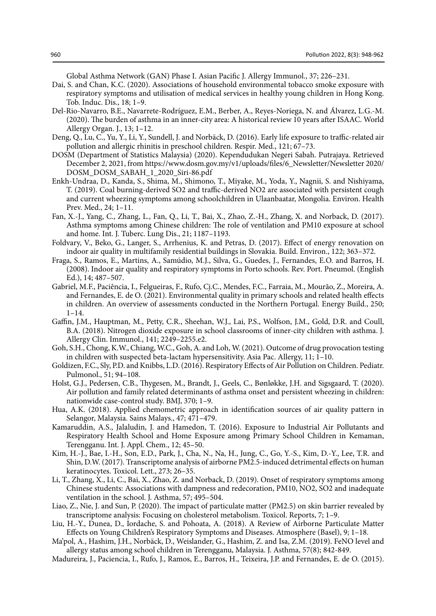Global Asthma Network (GAN) Phase I. Asian Pacific J. Allergy Immunol., 37; 226–231.

- Dai, S. and Chan, K.C. (2020). Associations of household environmental tobacco smoke exposure with respiratory symptoms and utilisation of medical services in healthy young children in Hong Kong. Tob. Induc. Dis., 18; 1–9.
- Del-Rio-Navarro, B.E., Navarrete-Rodríguez, E.M., Berber, A., Reyes-Noriega, N. and Álvarez, L.G.-M. (2020). The burden of asthma in an inner-city area: A historical review 10 years after ISAAC. World Allergy Organ. J., 13; 1–12.
- Deng, Q., Lu, C., Yu, Y., Li, Y., Sundell, J. and Norbäck, D. (2016). Early life exposure to traffic-related air pollution and allergic rhinitis in preschool children. Respir. Med., 121; 67–73.
- DOSM (Department of Statistics Malaysia) (2020). Kependudukan Negeri Sabah. Putrajaya. Retrieved December 2, 2021, from https://www.dosm.gov.my/v1/uploads/files/6\_Newsletter/Newsletter 2020/ DOSM\_DOSM\_SABAH\_1\_2020\_Siri-86.pdf
- Enkh-Undraa, D., Kanda, S., Shima, M., Shimono, T., Miyake, M., Yoda, Y., Nagnii, S. and Nishiyama, T. (2019). Coal burning-derived SO2 and traffic-derived NO2 are associated with persistent cough and current wheezing symptoms among schoolchildren in Ulaanbaatar, Mongolia. Environ. Health Prev. Med., 24; 1–11.
- Fan, X.-J., Yang, C., Zhang, L., Fan, Q., Li, T., Bai, X., Zhao, Z.-H., Zhang, X. and Norback, D. (2017). Asthma symptoms among Chinese children: The role of ventilation and PM10 exposure at school and home. Int. J. Tuberc. Lung Dis., 21; 1187–1193.
- Foldvary, V., Beko, G., Langer, S., Arrhenius, K. and Petras, D. (2017). Effect of energy renovation on indoor air quality in multifamily residential buildings in Slovakia. Build. Environ., 122; 363–372.
- Fraga, S., Ramos, E., Martins, A., Samúdio, M.J., Silva, G., Guedes, J., Fernandes, E.O. and Barros, H. (2008). Indoor air quality and respiratory symptoms in Porto schools. Rev. Port. Pneumol. (English Ed.), 14; 487–507.
- Gabriel, M.F., Paciência, I., Felgueiras, F., Rufo, Cj.C., Mendes, F.C., Farraia, M., Mourão, Z., Moreira, A. and Fernandes, E. de O. (2021). Environmental quality in primary schools and related health effects in children. An overview of assessments conducted in the Northern Portugal. Energy Build., 250;  $1 - 14.$
- Gaffin, J.M., Hauptman, M., Petty, C.R., Sheehan, W.J., Lai, P.S., Wolfson, J.M., Gold, D.R. and Coull, B.A. (2018). Nitrogen dioxide exposure in school classrooms of inner-city children with asthma. J. Allergy Clin. Immunol., 141; 2249–2255.e2.
- Goh, S.H., Chong, K.W., Chiang, W.C., Goh, A. and Loh, W. (2021). Outcome of drug provocation testing in children with suspected beta-lactam hypersensitivity. Asia Pac. Allergy, 11; 1–10.
- Goldizen, F.C., Sly, P.D. and Knibbs, L.D. (2016). Respiratory Effects of Air Pollution on Children. Pediatr. Pulmonol., 51; 94–108.
- Holst, G.J., Pedersen, C.B., Thygesen, M., Brandt, J., Geels, C., Bønløkke, J.H. and Sigsgaard, T. (2020). Air pollution and family related determinants of asthma onset and persistent wheezing in children: nationwide case-control study. BMJ, 370; 1–9.
- Hua, A.K. (2018). Applied chemometric approach in identification sources of air quality pattern in Selangor, Malaysia. Sains Malays., 47; 471–479.
- Kamaruddin, A.S., Jalaludin, J. and Hamedon, T. (2016). Exposure to Industrial Air Pollutants and Respiratory Health School and Home Exposure among Primary School Children in Kemaman, Terengganu. Int. J. Appl. Chem., 12; 45–50.
- Kim, H.-J., Bae, I.-H., Son, E.D., Park, J., Cha, N., Na, H., Jung, C., Go, Y.-S., Kim, D.-Y., Lee, T.R. and Shin, D.W. (2017). Transcriptome analysis of airborne PM2.5-induced detrimental effects on human keratinocytes. Toxicol. Lett., 273; 26–35.
- Li, T., Zhang, X., Li, C., Bai, X., Zhao, Z. and Norback, D. (2019). Onset of respiratory symptoms among Chinese students: Associations with dampness and redecoration, PM10, NO2, SO2 and inadequate ventilation in the school. J. Asthma, 57; 495–504.
- Liao, Z., Nie, J. and Sun, P. (2020). The impact of particulate matter (PM2.5) on skin barrier revealed by transcriptome analysis: Focusing on cholesterol metabolism. Toxicol. Reports, 7; 1–9.
- Liu, H.-Y., Dunea, D., Iordache, S. and Pohoata, A. (2018). A Review of Airborne Particulate Matter Effects on Young Children's Respiratory Symptoms and Diseases. Atmosphere (Basel), 9; 1–18.
- Ma'pol, A., Hashim, J.H., Norbäck, D., Weislander, G., Hashim, Z. and Isa, Z.M. (2019). FeNO level and allergy status among school children in Terengganu, Malaysia. J. Asthma, 57(8); 842-849.
- Madureira, J., Paciencia, I., Rufo, J., Ramos, E., Barros, H., Teixeira, J.P. and Fernandes, E. de O. (2015).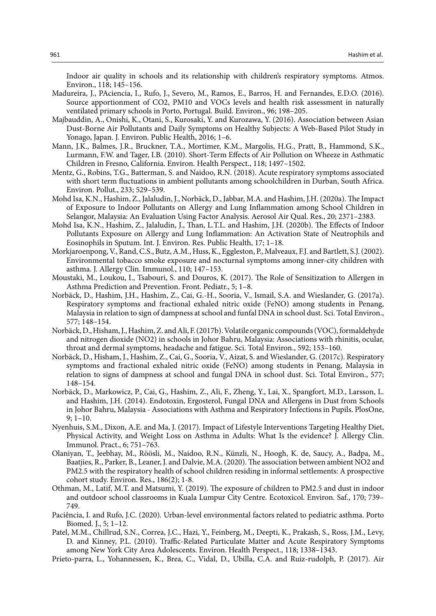Indoor air quality in schools and its relationship with children's respiratory symptoms. Atmos. Environ., 118; 145–156.

- Madureira, J., PAciencia, I., Rufo, J., Severo, M., Ramos, E., Barros, H. and Fernandes, E.D.O. (2016). Source apportionment of CO2, PM10 and VOCs levels and health risk assessment in naturally ventilated primary schools in Porto, Portugal. Build. Environ., 96; 198–205.
- Majbauddin, A., Onishi, K., Otani, S., Kurosaki, Y. and Kurozawa, Y. (2016). Association between Asian Dust-Borne Air Pollutants and Daily Symptoms on Healthy Subjects: A Web-Based Pilot Study in Yonago, Japan. J. Environ. Public Health, 2016; 1–6.
- Mann, J.K., Balmes, J.R., Bruckner, T.A., Mortimer, K.M., Margolis, H.G., Pratt, B., Hammond, S.K., Lurmann, F.W. and Tager, I.B. (2010). Short-Term Effects of Air Pollution on Wheeze in Asthmatic Children in Fresno, California. Environ. Health Perspect., 118; 1497–1502.
- Mentz, G., Robins, T.G., Batterman, S. and Naidoo, R.N. (2018). Acute respiratory symptoms associated with short term fluctuations in ambient pollutants among schoolchildren in Durban, South Africa. Environ. Pollut., 233; 529–539.
- Mohd Isa, K.N., Hashim, Z., Jalaludin, J., Norbäck, D., Jabbar, M.A. and Hashim, J.H. (2020a). The Impact of Exposure to Indoor Pollutants on Allergy and Lung Inflammation among School Children in Selangor, Malaysia: An Evaluation Using Factor Analysis. Aerosol Air Qual. Res., 20; 2371–2383.
- Mohd Isa, K.N., Hashim, Z., Jalaludin, J., Than, L.T.L. and Hashim, J.H. (2020b). The Effects of Indoor Pollutants Exposure on Allergy and Lung Inflammation: An Activation State of Neutrophils and Eosinophils in Sputum. Int. J. Environ. Res. Public Health, 17; 1–18.
- Morkjaroenpong, V., Rand, C.S., Butz, A.M., Huss, K., Eggleston, P., Malveaux, F.J. and Bartlett, S.J. (2002). Environmental tobacco smoke exposure and nocturnal symptoms among inner-city children with asthma. J. Allergy Clin. Immunol., 110; 147–153.
- Moustaki, M., Loukou, I., Tsabouri, S. and Douros, K. (2017). The Role of Sensitization to Allergen in Asthma Prediction and Prevention. Front. Pediatr., 5; 1–8.
- Norbäck, D., Hashim, J.H., Hashim, Z., Cai, G.-H., Sooria, V., Ismail, S.A. and Wieslander, G. (2017a). Respiratory symptoms and fractional exhaled nitric oxide (FeNO) among students in Penang, Malaysia in relation to sign of dampness at school and funfal DNA in school dust. Sci. Total Environ., 577; 148–154.
- Norbäck, D., Hisham, J., Hashim, Z. and Ali, F. (2017b). Volatile organic compounds (VOC), formaldehyde and nitrogen dioxide (NO2) in schools in Johor Bahru, Malaysia: Associations with rhinitis, ocular, throat and dermal symptoms, headache and fatigue. Sci. Total Environ., 592; 153–160.
- Norbäck, D., Hisham, J., Hashim, Z., Cai, G., Sooria, V., Aizat, S. and Wieslander, G. (2017c). Respiratory symptoms and fractional exhaled nitric oxide (FeNO) among students in Penang, Malaysia in relation to signs of dampness at school and fungal DNA in school dust. Sci. Total Environ., 577; 148–154.
- Norbäck, D., Markowicz, P., Cai, G., Hashim, Z., Ali, F., Zheng, Y., Lai, X., Spangfort, M.D., Larsson, L. and Hashim, J.H. (2014). Endotoxin, Ergosterol, Fungal DNA and Allergens in Dust from Schools in Johor Bahru, Malaysia - Associations with Asthma and Respiratory Infections in Pupils. PlosOne, 9; 1–10.
- Nyenhuis, S.M., Dixon, A.E. and Ma, J. (2017). Impact of Lifestyle Interventions Targeting Healthy Diet, Physical Activity, and Weight Loss on Asthma in Adults: What Is the evidence? J. Allergy Clin. Immunol. Pract., 6; 751–763.
- Olaniyan, T., Jeebhay, M., Röösli, M., Naidoo, R.N., Künzli, N., Hoogh, K. de, Saucy, A., Badpa, M., Baatjies, R., Parker, B., Leaner, J. and Dalvie, M.A. (2020). The association between ambient NO2 and PM2.5 with the respiratory health of school children residing in informal settlements: A prospective cohort study. Environ. Res., 186(2); 1-8.
- Othman, M., Latif, M.T. and Matsumi, Y. (2019). The exposure of children to PM2.5 and dust in indoor and outdoor school classrooms in Kuala Lumpur City Centre. Ecotoxicol. Environ. Saf., 170; 739– 749.
- Paciência, I. and Rufo, J.C. (2020). Urban-level environmental factors related to pediatric asthma. Porto Biomed. J., 5; 1–12.
- Patel, M.M., Chillrud, S.N., Correa, J.C., Hazi, Y., Feinberg, M., Deepti, K., Prakash, S., Ross, J.M., Levy, D. and Kinney, P.L. (2010). Traffic-Related Particulate Matter and Acute Respiratory Symptoms among New York City Area Adolescents. Environ. Health Perspect., 118; 1338–1343.
- Prieto-parra, L., Yohannessen, K., Brea, C., Vidal, D., Ubilla, C.A. and Ruiz-rudolph, P. (2017). Air